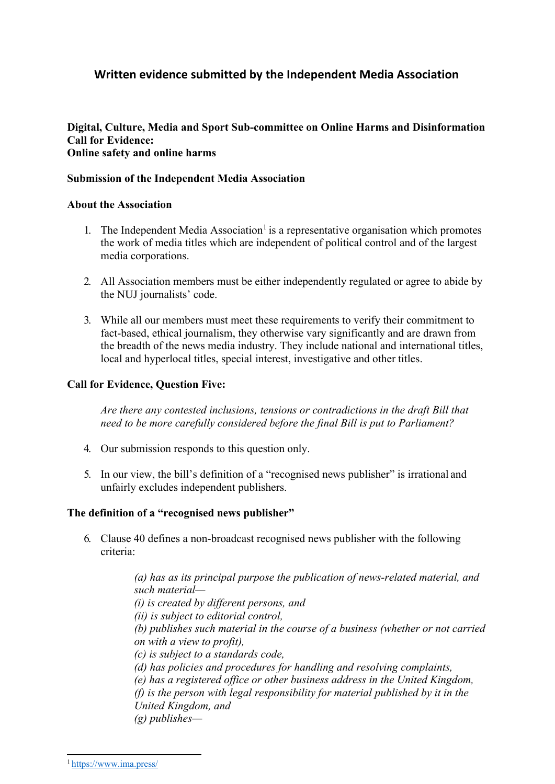# **Written evidence submitted by the Independent Media Association**

#### **Digital, Culture, Media and Sport Sub-committee on Online Harms and Disinformation Call for Evidence: Online safety and online harms**

### **Submission of the Independent Media Association**

#### **About the Association**

- 1. The Independent Media Association<sup>1</sup> is a representative organisation which promotes the work of media titles which are independent of political control and of the largest media corporations.
- 2. All Association members must be either independently regulated or agree to abide by the NUJ journalists' code.
- 3. While all our members must meet these requirements to verify their commitment to fact-based, ethical journalism, they otherwise vary significantly and are drawn from the breadth of the news media industry. They include national and international titles, local and hyperlocal titles, special interest, investigative and other titles.

## **Call for Evidence, Question Five:**

*Are there any contested inclusions, tensions or contradictions in the draft Bill that need to be more carefully considered before the final Bill is put to Parliament?*

- 4. Our submission responds to this question only.
- 5. In our view, the bill's definition of a "recognised news publisher" is irrational and unfairly excludes independent publishers.

#### **The definition of a "recognised news publisher"**

6. Clause 40 defines a non-broadcast recognised news publisher with the following criteria:

> *(a) has as its principal purpose the publication of news-related material, and such material— (i) is created by different persons, and (ii) is subject to editorial control, (b) publishes such material in the course of a business (whether or not carried on with a view to profit), (c) is subject to a standards code, (d) has policies and procedures for handling and resolving complaints, (e) has a registered office or other business address in the United Kingdom, (f) is the person with legal responsibility for material published by it in the United Kingdom, and (g) publishes—*

<sup>1</sup> <https://www.ima.press/>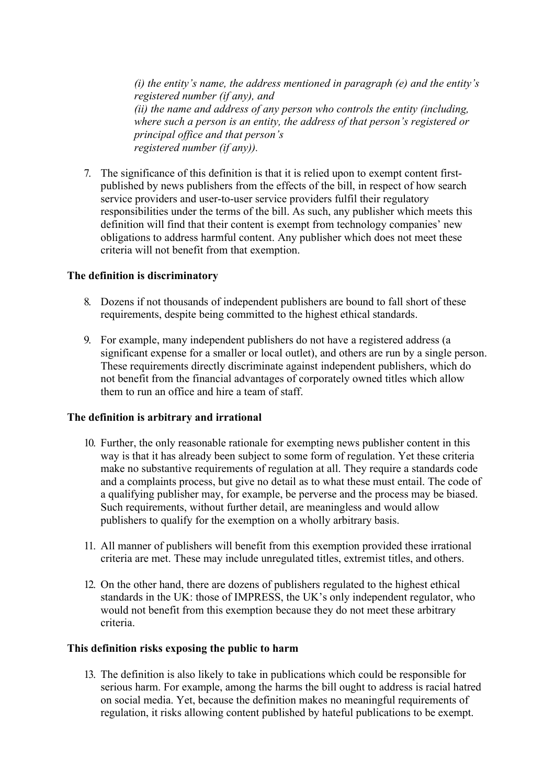*(i) the entity's name, the address mentioned in paragraph (e) and the entity's registered number (if any), and (ii) the name and address of any person who controls the entity (including, where such a person is an entity, the address of that person's registered or principal office and that person's registered number (if any)).*

7. The significance of this definition is that it is relied upon to exempt content firstpublished by news publishers from the effects of the bill, in respect of how search service providers and user-to-user service providers fulfil their regulatory responsibilities under the terms of the bill. As such, any publisher which meets this definition will find that their content is exempt from technology companies' new obligations to address harmful content. Any publisher which does not meet these criteria will not benefit from that exemption.

#### **The definition is discriminatory**

- 8. Dozens if not thousands of independent publishers are bound to fall short of these requirements, despite being committed to the highest ethical standards.
- 9. For example, many independent publishers do not have a registered address (a significant expense for a smaller or local outlet), and others are run by a single person. These requirements directly discriminate against independent publishers, which do not benefit from the financial advantages of corporately owned titles which allow them to run an office and hire a team of staff.

#### **The definition is arbitrary and irrational**

- 10. Further, the only reasonable rationale for exempting news publisher content in this way is that it has already been subject to some form of regulation. Yet these criteria make no substantive requirements of regulation at all. They require a standards code and a complaints process, but give no detail as to what these must entail. The code of a qualifying publisher may, for example, be perverse and the process may be biased. Such requirements, without further detail, are meaningless and would allow publishers to qualify for the exemption on a wholly arbitrary basis.
- 11. All manner of publishers will benefit from this exemption provided these irrational criteria are met. These may include unregulated titles, extremist titles, and others.
- 12. On the other hand, there are dozens of publishers regulated to the highest ethical standards in the UK: those of IMPRESS, the UK's only independent regulator, who would not benefit from this exemption because they do not meet these arbitrary criteria.

#### **This definition risks exposing the public to harm**

13. The definition is also likely to take in publications which could be responsible for serious harm. For example, among the harms the bill ought to address is racial hatred on social media. Yet, because the definition makes no meaningful requirements of regulation, it risks allowing content published by hateful publications to be exempt.